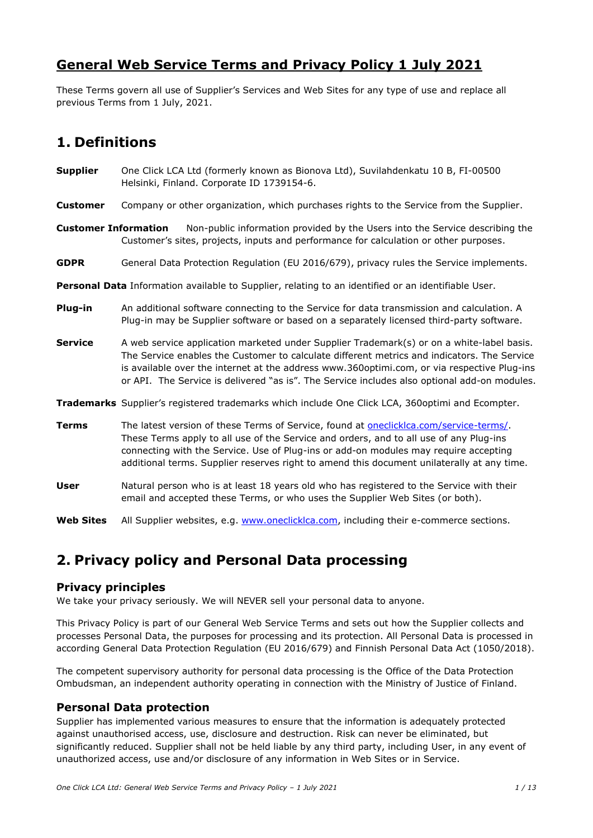# **General Web Service Terms and Privacy Policy 1 July 2021**

These Terms govern all use of Supplier's Services and Web Sites for any type of use and replace all previous Terms from 1 July, 2021.

# **1. Definitions**

- **Supplier** One Click LCA Ltd (formerly known as Bionova Ltd), Suvilahdenkatu 10 B, FI-00500 Helsinki, Finland. Corporate ID 1739154-6.
- **Customer** Company or other organization, which purchases rights to the Service from the Supplier.
- **Customer Information** Non-public information provided by the Users into the Service describing the Customer's sites, projects, inputs and performance for calculation or other purposes.
- **GDPR** General Data Protection Regulation (EU 2016/679), privacy rules the Service implements.
- **Personal Data** Information available to Supplier, relating to an identified or an identifiable User.
- **Plug-in** An additional software connecting to the Service for data transmission and calculation. A Plug-in may be Supplier software or based on a separately licensed third-party software.
- **Service** A web service application marketed under Supplier Trademark(s) or on a white-label basis. The Service enables the Customer to calculate different metrics and indicators. The Service is available over the internet at the address www.360optimi.com, or via respective Plug-ins or API. The Service is delivered "as is". The Service includes also optional add-on modules.

**Trademarks** Supplier's registered trademarks which include One Click LCA, 360optimi and Ecompter.

- **Terms** The latest version of these Terms of Service, found at **oneclicklca.com/service-terms/**. These Terms apply to all use of the Service and orders, and to all use of any Plug-ins connecting with the Service. Use of Plug-ins or add-on modules may require accepting additional terms. Supplier reserves right to amend this document unilaterally at any time.
- **User** Natural person who is at least 18 years old who has registered to the Service with their email and accepted these Terms, or who uses the Supplier Web Sites (or both).
- **Web Sites** All Supplier websites, e.g. [www.oneclicklca.com,](http://www.oneclicklca.com/) including their e-commerce sections.

# **2. Privacy policy and Personal Data processing**

#### **Privacy principles**

We take your privacy seriously. We will NEVER sell your personal data to anyone.

This Privacy Policy is part of our General Web Service Terms and sets out how the Supplier collects and processes Personal Data, the purposes for processing and its protection. All Personal Data is processed in according General Data Protection Regulation (EU 2016/679) and Finnish Personal Data Act (1050/2018).

The competent supervisory authority for personal data processing is the Office of the Data Protection Ombudsman, an independent authority operating in connection with the Ministry of Justice of Finland.

### **Personal Data protection**

Supplier has implemented various measures to ensure that the information is adequately protected against unauthorised access, use, disclosure and destruction. Risk can never be eliminated, but significantly reduced. Supplier shall not be held liable by any third party, including User, in any event of unauthorized access, use and/or disclosure of any information in Web Sites or in Service.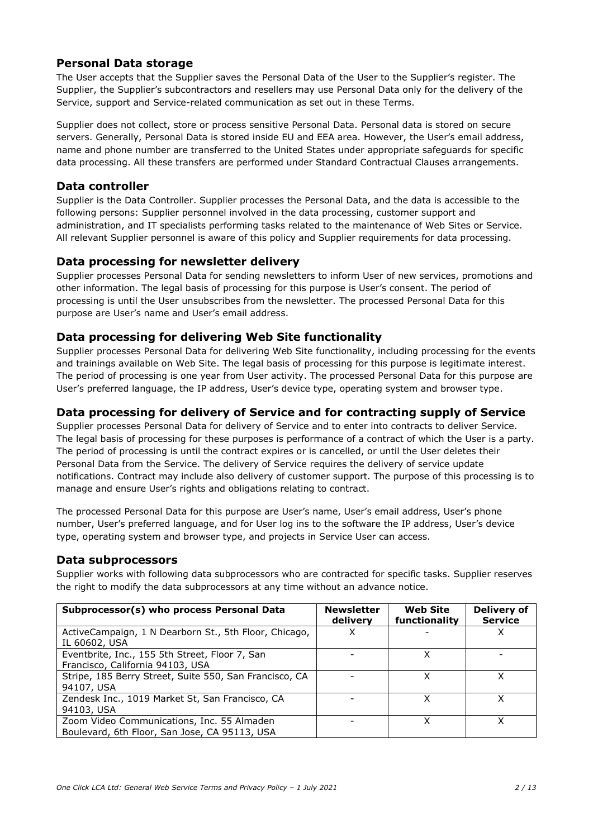### **Personal Data storage**

The User accepts that the Supplier saves the Personal Data of the User to the Supplier's register. The Supplier, the Supplier's subcontractors and resellers may use Personal Data only for the delivery of the Service, support and Service-related communication as set out in these Terms.

Supplier does not collect, store or process sensitive Personal Data. Personal data is stored on secure servers. Generally, Personal Data is stored inside EU and EEA area. However, the User's email address, name and phone number are transferred to the United States under appropriate safeguards for specific data processing. All these transfers are performed under Standard Contractual Clauses arrangements.

#### **Data controller**

Supplier is the Data Controller. Supplier processes the Personal Data, and the data is accessible to the following persons: Supplier personnel involved in the data processing, customer support and administration, and IT specialists performing tasks related to the maintenance of Web Sites or Service. All relevant Supplier personnel is aware of this policy and Supplier requirements for data processing.

#### **Data processing for newsletter delivery**

Supplier processes Personal Data for sending newsletters to inform User of new services, promotions and other information. The legal basis of processing for this purpose is User's consent. The period of processing is until the User unsubscribes from the newsletter. The processed Personal Data for this purpose are User's name and User's email address.

### **Data processing for delivering Web Site functionality**

Supplier processes Personal Data for delivering Web Site functionality, including processing for the events and trainings available on Web Site. The legal basis of processing for this purpose is legitimate interest. The period of processing is one year from User activity. The processed Personal Data for this purpose are User's preferred language, the IP address, User's device type, operating system and browser type.

### **Data processing for delivery of Service and for contracting supply of Service**

Supplier processes Personal Data for delivery of Service and to enter into contracts to deliver Service. The legal basis of processing for these purposes is performance of a contract of which the User is a party. The period of processing is until the contract expires or is cancelled, or until the User deletes their Personal Data from the Service. The delivery of Service requires the delivery of service update notifications. Contract may include also delivery of customer support. The purpose of this processing is to manage and ensure User's rights and obligations relating to contract.

The processed Personal Data for this purpose are User's name, User's email address, User's phone number, User's preferred language, and for User log ins to the software the IP address, User's device type, operating system and browser type, and projects in Service User can access.

#### **Data subprocessors**

Supplier works with following data subprocessors who are contracted for specific tasks. Supplier reserves the right to modify the data subprocessors at any time without an advance notice.

| Subprocessor(s) who process Personal Data                                                   | <b>Newsletter</b><br>delivery | <b>Web Site</b><br>functionality | <b>Delivery of</b><br><b>Service</b> |
|---------------------------------------------------------------------------------------------|-------------------------------|----------------------------------|--------------------------------------|
| ActiveCampaign, 1 N Dearborn St., 5th Floor, Chicago,<br>IL 60602, USA                      |                               |                                  |                                      |
| Eventbrite, Inc., 155 5th Street, Floor 7, San<br>Francisco, California 94103, USA          |                               |                                  |                                      |
| Stripe, 185 Berry Street, Suite 550, San Francisco, CA<br>94107, USA                        |                               |                                  |                                      |
| Zendesk Inc., 1019 Market St, San Francisco, CA<br>94103, USA                               |                               | x                                |                                      |
| Zoom Video Communications, Inc. 55 Almaden<br>Boulevard, 6th Floor, San Jose, CA 95113, USA |                               |                                  |                                      |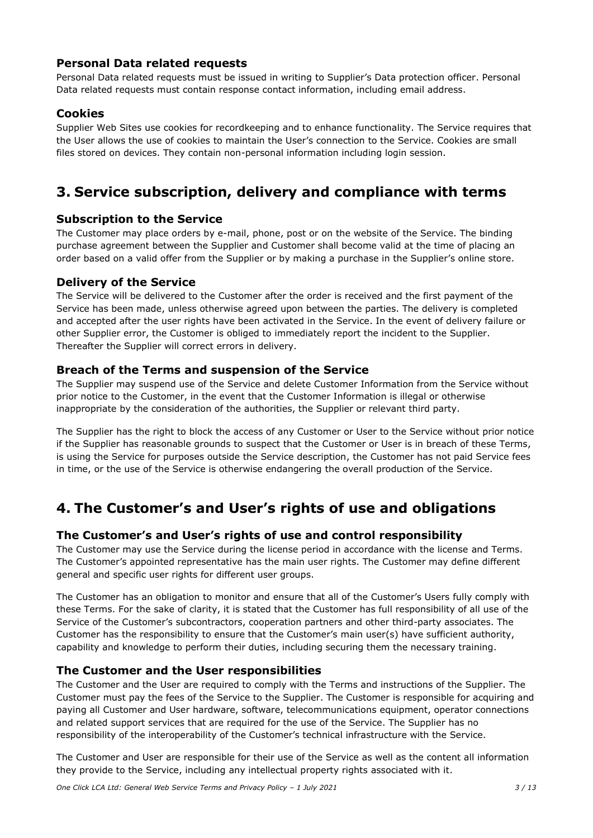### **Personal Data related requests**

Personal Data related requests must be issued in writing to Supplier's Data protection officer. Personal Data related requests must contain response contact information, including email address.

### **Cookies**

Supplier Web Sites use cookies for recordkeeping and to enhance functionality. The Service requires that the User allows the use of cookies to maintain the User's connection to the Service. Cookies are small files stored on devices. They contain non-personal information including login session.

# **3. Service subscription, delivery and compliance with terms**

#### **Subscription to the Service**

The Customer may place orders by e-mail, phone, post or on the website of the Service. The binding purchase agreement between the Supplier and Customer shall become valid at the time of placing an order based on a valid offer from the Supplier or by making a purchase in the Supplier's online store.

#### **Delivery of the Service**

The Service will be delivered to the Customer after the order is received and the first payment of the Service has been made, unless otherwise agreed upon between the parties. The delivery is completed and accepted after the user rights have been activated in the Service. In the event of delivery failure or other Supplier error, the Customer is obliged to immediately report the incident to the Supplier. Thereafter the Supplier will correct errors in delivery.

#### **Breach of the Terms and suspension of the Service**

The Supplier may suspend use of the Service and delete Customer Information from the Service without prior notice to the Customer, in the event that the Customer Information is illegal or otherwise inappropriate by the consideration of the authorities, the Supplier or relevant third party.

The Supplier has the right to block the access of any Customer or User to the Service without prior notice if the Supplier has reasonable grounds to suspect that the Customer or User is in breach of these Terms, is using the Service for purposes outside the Service description, the Customer has not paid Service fees in time, or the use of the Service is otherwise endangering the overall production of the Service.

# **4. The Customer's and User's rights of use and obligations**

#### **The Customer's and User's rights of use and control responsibility**

The Customer may use the Service during the license period in accordance with the license and Terms. The Customer's appointed representative has the main user rights. The Customer may define different general and specific user rights for different user groups.

The Customer has an obligation to monitor and ensure that all of the Customer's Users fully comply with these Terms. For the sake of clarity, it is stated that the Customer has full responsibility of all use of the Service of the Customer's subcontractors, cooperation partners and other third-party associates. The Customer has the responsibility to ensure that the Customer's main user(s) have sufficient authority, capability and knowledge to perform their duties, including securing them the necessary training.

#### **The Customer and the User responsibilities**

The Customer and the User are required to comply with the Terms and instructions of the Supplier. The Customer must pay the fees of the Service to the Supplier. The Customer is responsible for acquiring and paying all Customer and User hardware, software, telecommunications equipment, operator connections and related support services that are required for the use of the Service. The Supplier has no responsibility of the interoperability of the Customer's technical infrastructure with the Service.

The Customer and User are responsible for their use of the Service as well as the content all information they provide to the Service, including any intellectual property rights associated with it.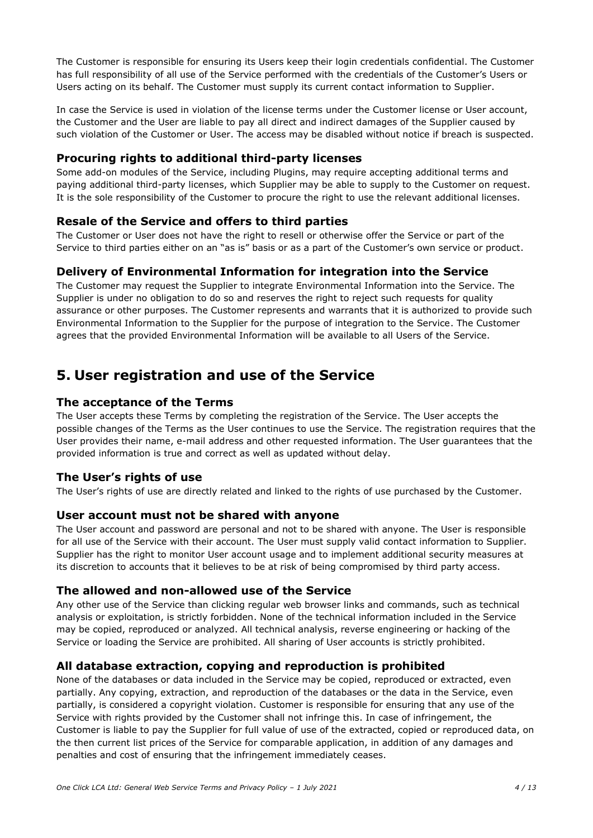The Customer is responsible for ensuring its Users keep their login credentials confidential. The Customer has full responsibility of all use of the Service performed with the credentials of the Customer's Users or Users acting on its behalf. The Customer must supply its current contact information to Supplier.

In case the Service is used in violation of the license terms under the Customer license or User account, the Customer and the User are liable to pay all direct and indirect damages of the Supplier caused by such violation of the Customer or User. The access may be disabled without notice if breach is suspected.

### **Procuring rights to additional third-party licenses**

Some add-on modules of the Service, including Plugins, may require accepting additional terms and paying additional third-party licenses, which Supplier may be able to supply to the Customer on request. It is the sole responsibility of the Customer to procure the right to use the relevant additional licenses.

### **Resale of the Service and offers to third parties**

The Customer or User does not have the right to resell or otherwise offer the Service or part of the Service to third parties either on an "as is" basis or as a part of the Customer's own service or product.

### **Delivery of Environmental Information for integration into the Service**

The Customer may request the Supplier to integrate Environmental Information into the Service. The Supplier is under no obligation to do so and reserves the right to reject such requests for quality assurance or other purposes. The Customer represents and warrants that it is authorized to provide such Environmental Information to the Supplier for the purpose of integration to the Service. The Customer agrees that the provided Environmental Information will be available to all Users of the Service.

# **5. User registration and use of the Service**

#### **The acceptance of the Terms**

The User accepts these Terms by completing the registration of the Service. The User accepts the possible changes of the Terms as the User continues to use the Service. The registration requires that the User provides their name, e-mail address and other requested information. The User guarantees that the provided information is true and correct as well as updated without delay.

#### **The User's rights of use**

The User's rights of use are directly related and linked to the rights of use purchased by the Customer.

#### **User account must not be shared with anyone**

The User account and password are personal and not to be shared with anyone. The User is responsible for all use of the Service with their account. The User must supply valid contact information to Supplier. Supplier has the right to monitor User account usage and to implement additional security measures at its discretion to accounts that it believes to be at risk of being compromised by third party access.

#### **The allowed and non-allowed use of the Service**

Any other use of the Service than clicking regular web browser links and commands, such as technical analysis or exploitation, is strictly forbidden. None of the technical information included in the Service may be copied, reproduced or analyzed. All technical analysis, reverse engineering or hacking of the Service or loading the Service are prohibited. All sharing of User accounts is strictly prohibited.

#### **All database extraction, copying and reproduction is prohibited**

None of the databases or data included in the Service may be copied, reproduced or extracted, even partially. Any copying, extraction, and reproduction of the databases or the data in the Service, even partially, is considered a copyright violation. Customer is responsible for ensuring that any use of the Service with rights provided by the Customer shall not infringe this. In case of infringement, the Customer is liable to pay the Supplier for full value of use of the extracted, copied or reproduced data, on the then current list prices of the Service for comparable application, in addition of any damages and penalties and cost of ensuring that the infringement immediately ceases.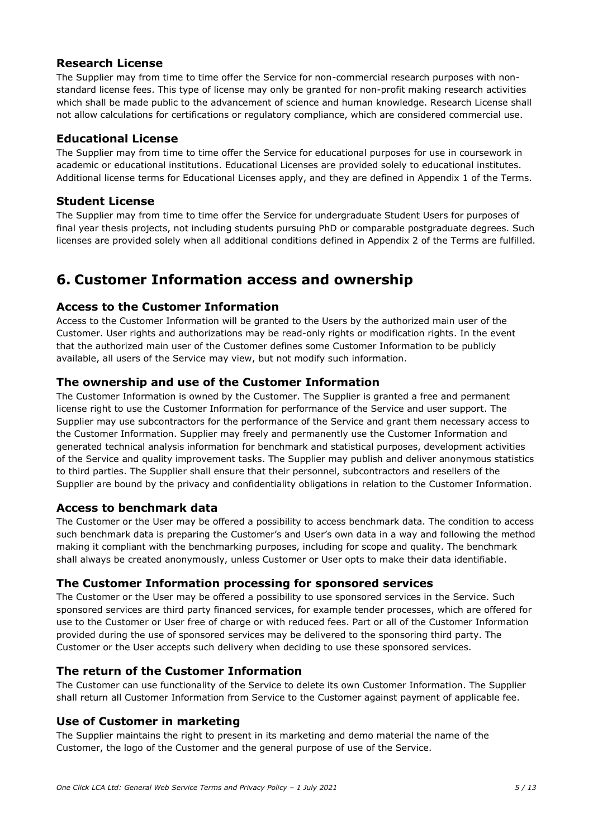### **Research License**

The Supplier may from time to time offer the Service for non-commercial research purposes with nonstandard license fees. This type of license may only be granted for non-profit making research activities which shall be made public to the advancement of science and human knowledge. Research License shall not allow calculations for certifications or regulatory compliance, which are considered commercial use.

#### **Educational License**

The Supplier may from time to time offer the Service for educational purposes for use in coursework in academic or educational institutions. Educational Licenses are provided solely to educational institutes. Additional license terms for Educational Licenses apply, and they are defined in Appendix 1 of the Terms.

### **Student License**

The Supplier may from time to time offer the Service for undergraduate Student Users for purposes of final year thesis projects, not including students pursuing PhD or comparable postgraduate degrees. Such licenses are provided solely when all additional conditions defined in Appendix 2 of the Terms are fulfilled.

# **6. Customer Information access and ownership**

### **Access to the Customer Information**

Access to the Customer Information will be granted to the Users by the authorized main user of the Customer. User rights and authorizations may be read-only rights or modification rights. In the event that the authorized main user of the Customer defines some Customer Information to be publicly available, all users of the Service may view, but not modify such information.

### **The ownership and use of the Customer Information**

The Customer Information is owned by the Customer. The Supplier is granted a free and permanent license right to use the Customer Information for performance of the Service and user support. The Supplier may use subcontractors for the performance of the Service and grant them necessary access to the Customer Information. Supplier may freely and permanently use the Customer Information and generated technical analysis information for benchmark and statistical purposes, development activities of the Service and quality improvement tasks. The Supplier may publish and deliver anonymous statistics to third parties. The Supplier shall ensure that their personnel, subcontractors and resellers of the Supplier are bound by the privacy and confidentiality obligations in relation to the Customer Information.

#### **Access to benchmark data**

The Customer or the User may be offered a possibility to access benchmark data. The condition to access such benchmark data is preparing the Customer's and User's own data in a way and following the method making it compliant with the benchmarking purposes, including for scope and quality. The benchmark shall always be created anonymously, unless Customer or User opts to make their data identifiable.

#### **The Customer Information processing for sponsored services**

The Customer or the User may be offered a possibility to use sponsored services in the Service. Such sponsored services are third party financed services, for example tender processes, which are offered for use to the Customer or User free of charge or with reduced fees. Part or all of the Customer Information provided during the use of sponsored services may be delivered to the sponsoring third party. The Customer or the User accepts such delivery when deciding to use these sponsored services.

#### **The return of the Customer Information**

The Customer can use functionality of the Service to delete its own Customer Information. The Supplier shall return all Customer Information from Service to the Customer against payment of applicable fee.

#### **Use of Customer in marketing**

The Supplier maintains the right to present in its marketing and demo material the name of the Customer, the logo of the Customer and the general purpose of use of the Service.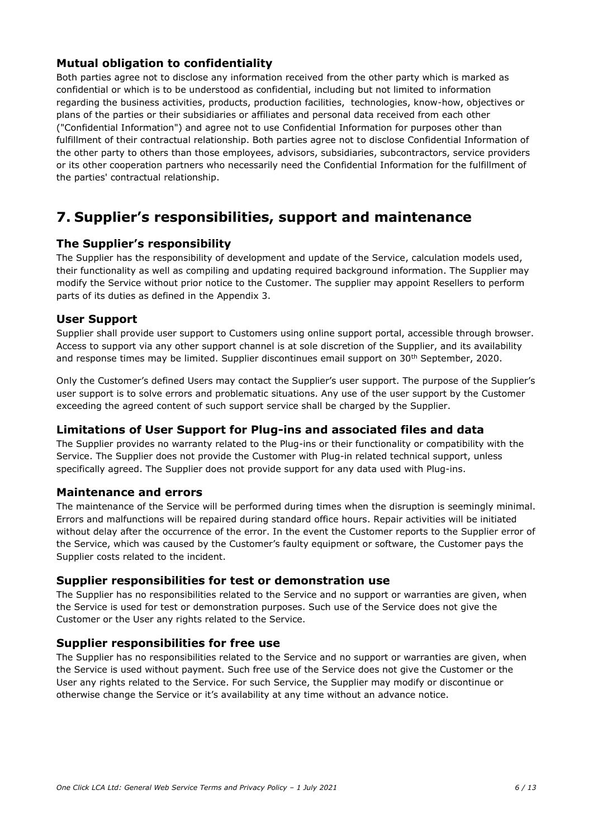### **Mutual obligation to confidentiality**

Both parties agree not to disclose any information received from the other party which is marked as confidential or which is to be understood as confidential, including but not limited to information regarding the business activities, products, production facilities, technologies, know-how, objectives or plans of the parties or their subsidiaries or affiliates and personal data received from each other ("Confidential Information") and agree not to use Confidential Information for purposes other than fulfillment of their contractual relationship. Both parties agree not to disclose Confidential Information of the other party to others than those employees, advisors, subsidiaries, subcontractors, service providers or its other cooperation partners who necessarily need the Confidential Information for the fulfillment of the parties' contractual relationship.

# **7. Supplier's responsibilities, support and maintenance**

#### **The Supplier's responsibility**

The Supplier has the responsibility of development and update of the Service, calculation models used, their functionality as well as compiling and updating required background information. The Supplier may modify the Service without prior notice to the Customer. The supplier may appoint Resellers to perform parts of its duties as defined in the Appendix 3.

#### **User Support**

Supplier shall provide user support to Customers using online support portal, accessible through browser. Access to support via any other support channel is at sole discretion of the Supplier, and its availability and response times may be limited. Supplier discontinues email support on 30<sup>th</sup> September, 2020.

Only the Customer's defined Users may contact the Supplier's user support. The purpose of the Supplier's user support is to solve errors and problematic situations. Any use of the user support by the Customer exceeding the agreed content of such support service shall be charged by the Supplier.

#### **Limitations of User Support for Plug-ins and associated files and data**

The Supplier provides no warranty related to the Plug-ins or their functionality or compatibility with the Service. The Supplier does not provide the Customer with Plug-in related technical support, unless specifically agreed. The Supplier does not provide support for any data used with Plug-ins.

#### **Maintenance and errors**

The maintenance of the Service will be performed during times when the disruption is seemingly minimal. Errors and malfunctions will be repaired during standard office hours. Repair activities will be initiated without delay after the occurrence of the error. In the event the Customer reports to the Supplier error of the Service, which was caused by the Customer's faulty equipment or software, the Customer pays the Supplier costs related to the incident.

#### **Supplier responsibilities for test or demonstration use**

The Supplier has no responsibilities related to the Service and no support or warranties are given, when the Service is used for test or demonstration purposes. Such use of the Service does not give the Customer or the User any rights related to the Service.

#### **Supplier responsibilities for free use**

The Supplier has no responsibilities related to the Service and no support or warranties are given, when the Service is used without payment. Such free use of the Service does not give the Customer or the User any rights related to the Service. For such Service, the Supplier may modify or discontinue or otherwise change the Service or it's availability at any time without an advance notice.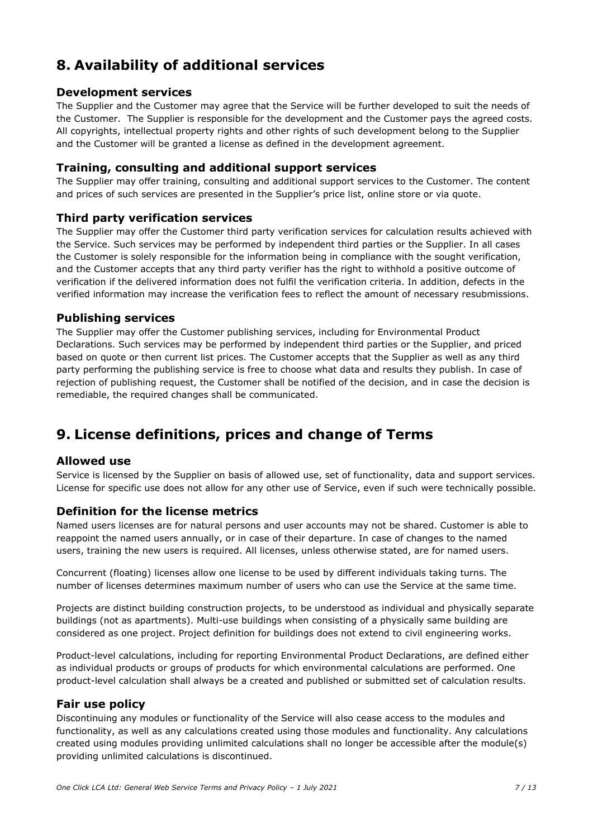# **8. Availability of additional services**

#### **Development services**

The Supplier and the Customer may agree that the Service will be further developed to suit the needs of the Customer. The Supplier is responsible for the development and the Customer pays the agreed costs. All copyrights, intellectual property rights and other rights of such development belong to the Supplier and the Customer will be granted a license as defined in the development agreement.

#### **Training, consulting and additional support services**

The Supplier may offer training, consulting and additional support services to the Customer. The content and prices of such services are presented in the Supplier's price list, online store or via quote.

#### **Third party verification services**

The Supplier may offer the Customer third party verification services for calculation results achieved with the Service. Such services may be performed by independent third parties or the Supplier. In all cases the Customer is solely responsible for the information being in compliance with the sought verification, and the Customer accepts that any third party verifier has the right to withhold a positive outcome of verification if the delivered information does not fulfil the verification criteria. In addition, defects in the verified information may increase the verification fees to reflect the amount of necessary resubmissions.

#### **Publishing services**

The Supplier may offer the Customer publishing services, including for Environmental Product Declarations. Such services may be performed by independent third parties or the Supplier, and priced based on quote or then current list prices. The Customer accepts that the Supplier as well as any third party performing the publishing service is free to choose what data and results they publish. In case of rejection of publishing request, the Customer shall be notified of the decision, and in case the decision is remediable, the required changes shall be communicated.

# **9. License definitions, prices and change of Terms**

#### **Allowed use**

Service is licensed by the Supplier on basis of allowed use, set of functionality, data and support services. License for specific use does not allow for any other use of Service, even if such were technically possible.

#### **Definition for the license metrics**

Named users licenses are for natural persons and user accounts may not be shared. Customer is able to reappoint the named users annually, or in case of their departure. In case of changes to the named users, training the new users is required. All licenses, unless otherwise stated, are for named users.

Concurrent (floating) licenses allow one license to be used by different individuals taking turns. The number of licenses determines maximum number of users who can use the Service at the same time.

Projects are distinct building construction projects, to be understood as individual and physically separate buildings (not as apartments). Multi-use buildings when consisting of a physically same building are considered as one project. Project definition for buildings does not extend to civil engineering works.

Product-level calculations, including for reporting Environmental Product Declarations, are defined either as individual products or groups of products for which environmental calculations are performed. One product-level calculation shall always be a created and published or submitted set of calculation results.

#### **Fair use policy**

Discontinuing any modules or functionality of the Service will also cease access to the modules and functionality, as well as any calculations created using those modules and functionality. Any calculations created using modules providing unlimited calculations shall no longer be accessible after the module(s) providing unlimited calculations is discontinued.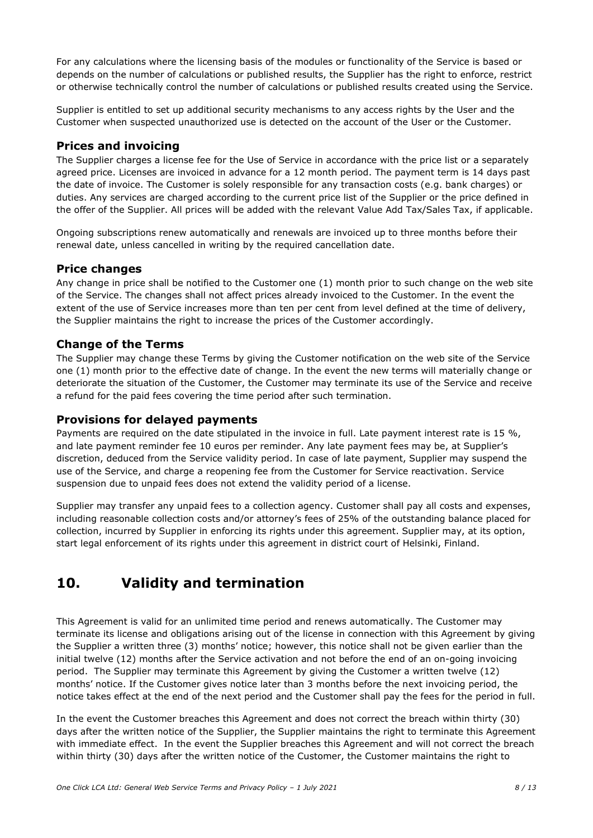For any calculations where the licensing basis of the modules or functionality of the Service is based or depends on the number of calculations or published results, the Supplier has the right to enforce, restrict or otherwise technically control the number of calculations or published results created using the Service.

Supplier is entitled to set up additional security mechanisms to any access rights by the User and the Customer when suspected unauthorized use is detected on the account of the User or the Customer.

### **Prices and invoicing**

The Supplier charges a license fee for the Use of Service in accordance with the price list or a separately agreed price. Licenses are invoiced in advance for a 12 month period. The payment term is 14 days past the date of invoice. The Customer is solely responsible for any transaction costs (e.g. bank charges) or duties. Any services are charged according to the current price list of the Supplier or the price defined in the offer of the Supplier. All prices will be added with the relevant Value Add Tax/Sales Tax, if applicable.

Ongoing subscriptions renew automatically and renewals are invoiced up to three months before their renewal date, unless cancelled in writing by the required cancellation date.

#### **Price changes**

Any change in price shall be notified to the Customer one (1) month prior to such change on the web site of the Service. The changes shall not affect prices already invoiced to the Customer. In the event the extent of the use of Service increases more than ten per cent from level defined at the time of delivery, the Supplier maintains the right to increase the prices of the Customer accordingly.

#### **Change of the Terms**

The Supplier may change these Terms by giving the Customer notification on the web site of the Service one (1) month prior to the effective date of change. In the event the new terms will materially change or deteriorate the situation of the Customer, the Customer may terminate its use of the Service and receive a refund for the paid fees covering the time period after such termination.

#### **Provisions for delayed payments**

Payments are required on the date stipulated in the invoice in full. Late payment interest rate is 15 %, and late payment reminder fee 10 euros per reminder. Any late payment fees may be, at Supplier's discretion, deduced from the Service validity period. In case of late payment, Supplier may suspend the use of the Service, and charge a reopening fee from the Customer for Service reactivation. Service suspension due to unpaid fees does not extend the validity period of a license.

Supplier may transfer any unpaid fees to a collection agency. Customer shall pay all costs and expenses, including reasonable collection costs and/or attorney's fees of 25% of the outstanding balance placed for collection, incurred by Supplier in enforcing its rights under this agreement. Supplier may, at its option, start legal enforcement of its rights under this agreement in district court of Helsinki, Finland.

# **10. Validity and termination**

This Agreement is valid for an unlimited time period and renews automatically. The Customer may terminate its license and obligations arising out of the license in connection with this Agreement by giving the Supplier a written three (3) months' notice; however, this notice shall not be given earlier than the initial twelve (12) months after the Service activation and not before the end of an on-going invoicing period. The Supplier may terminate this Agreement by giving the Customer a written twelve (12) months' notice. If the Customer gives notice later than 3 months before the next invoicing period, the notice takes effect at the end of the next period and the Customer shall pay the fees for the period in full.

In the event the Customer breaches this Agreement and does not correct the breach within thirty (30) days after the written notice of the Supplier, the Supplier maintains the right to terminate this Agreement with immediate effect. In the event the Supplier breaches this Agreement and will not correct the breach within thirty (30) days after the written notice of the Customer, the Customer maintains the right to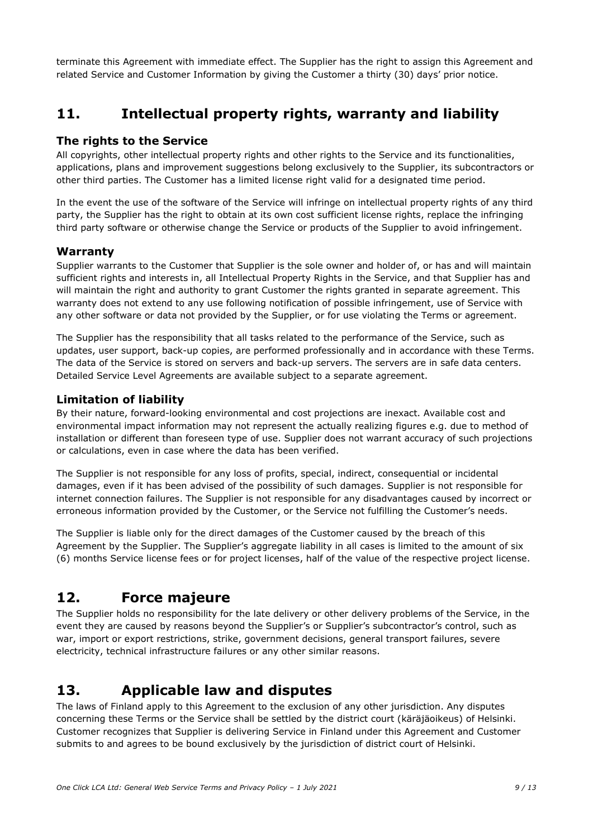terminate this Agreement with immediate effect. The Supplier has the right to assign this Agreement and related Service and Customer Information by giving the Customer a thirty (30) days' prior notice.

# **11. Intellectual property rights, warranty and liability**

#### **The rights to the Service**

All copyrights, other intellectual property rights and other rights to the Service and its functionalities, applications, plans and improvement suggestions belong exclusively to the Supplier, its subcontractors or other third parties. The Customer has a limited license right valid for a designated time period.

In the event the use of the software of the Service will infringe on intellectual property rights of any third party, the Supplier has the right to obtain at its own cost sufficient license rights, replace the infringing third party software or otherwise change the Service or products of the Supplier to avoid infringement.

### **Warranty**

Supplier warrants to the Customer that Supplier is the sole owner and holder of, or has and will maintain sufficient rights and interests in, all Intellectual Property Rights in the Service, and that Supplier has and will maintain the right and authority to grant Customer the rights granted in separate agreement. This warranty does not extend to any use following notification of possible infringement, use of Service with any other software or data not provided by the Supplier, or for use violating the Terms or agreement.

The Supplier has the responsibility that all tasks related to the performance of the Service, such as updates, user support, back-up copies, are performed professionally and in accordance with these Terms. The data of the Service is stored on servers and back-up servers. The servers are in safe data centers. Detailed Service Level Agreements are available subject to a separate agreement.

### **Limitation of liability**

By their nature, forward-looking environmental and cost projections are inexact. Available cost and environmental impact information may not represent the actually realizing figures e.g. due to method of installation or different than foreseen type of use. Supplier does not warrant accuracy of such projections or calculations, even in case where the data has been verified.

The Supplier is not responsible for any loss of profits, special, indirect, consequential or incidental damages, even if it has been advised of the possibility of such damages. Supplier is not responsible for internet connection failures. The Supplier is not responsible for any disadvantages caused by incorrect or erroneous information provided by the Customer, or the Service not fulfilling the Customer's needs.

The Supplier is liable only for the direct damages of the Customer caused by the breach of this Agreement by the Supplier. The Supplier's aggregate liability in all cases is limited to the amount of six (6) months Service license fees or for project licenses, half of the value of the respective project license.

### **12. Force majeure**

The Supplier holds no responsibility for the late delivery or other delivery problems of the Service, in the event they are caused by reasons beyond the Supplier's or Supplier's subcontractor's control, such as war, import or export restrictions, strike, government decisions, general transport failures, severe electricity, technical infrastructure failures or any other similar reasons.

### **13. Applicable law and disputes**

The laws of Finland apply to this Agreement to the exclusion of any other jurisdiction. Any disputes concerning these Terms or the Service shall be settled by the district court (käräjäoikeus) of Helsinki. Customer recognizes that Supplier is delivering Service in Finland under this Agreement and Customer submits to and agrees to be bound exclusively by the jurisdiction of district court of Helsinki.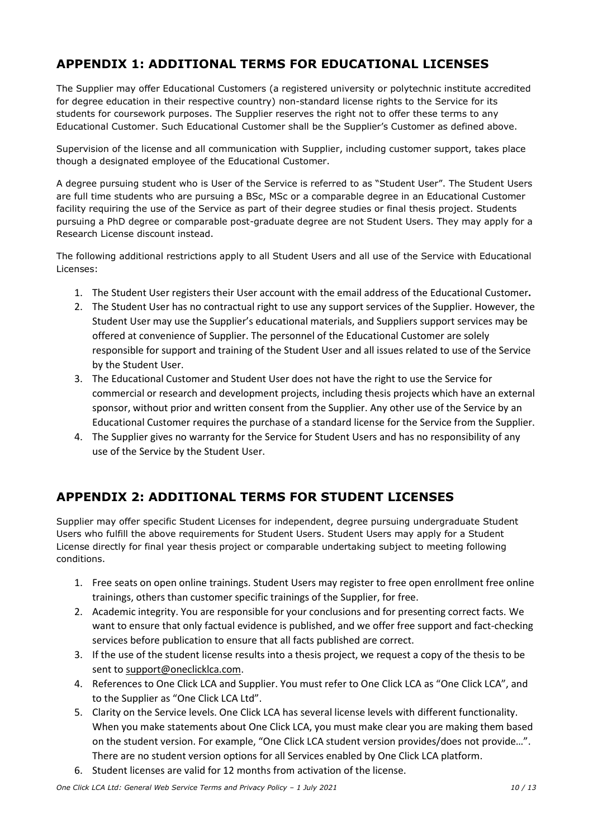### **APPENDIX 1: ADDITIONAL TERMS FOR EDUCATIONAL LICENSES**

The Supplier may offer Educational Customers (a registered university or polytechnic institute accredited for degree education in their respective country) non-standard license rights to the Service for its students for coursework purposes. The Supplier reserves the right not to offer these terms to any Educational Customer. Such Educational Customer shall be the Supplier's Customer as defined above.

Supervision of the license and all communication with Supplier, including customer support, takes place though a designated employee of the Educational Customer.

A degree pursuing student who is User of the Service is referred to as "Student User". The Student Users are full time students who are pursuing a BSc, MSc or a comparable degree in an Educational Customer facility requiring the use of the Service as part of their degree studies or final thesis project. Students pursuing a PhD degree or comparable post-graduate degree are not Student Users. They may apply for a Research License discount instead.

The following additional restrictions apply to all Student Users and all use of the Service with Educational Licenses:

- 1. The Student User registers their User account with the email address of the Educational Customer**.**
- 2. The Student User has no contractual right to use any support services of the Supplier. However, the Student User may use the Supplier's educational materials, and Suppliers support services may be offered at convenience of Supplier. The personnel of the Educational Customer are solely responsible for support and training of the Student User and all issues related to use of the Service by the Student User.
- 3. The Educational Customer and Student User does not have the right to use the Service for commercial or research and development projects, including thesis projects which have an external sponsor, without prior and written consent from the Supplier. Any other use of the Service by an Educational Customer requires the purchase of a standard license for the Service from the Supplier.
- 4. The Supplier gives no warranty for the Service for Student Users and has no responsibility of any use of the Service by the Student User.

### **APPENDIX 2: ADDITIONAL TERMS FOR STUDENT LICENSES**

Supplier may offer specific Student Licenses for independent, degree pursuing undergraduate Student Users who fulfill the above requirements for Student Users. Student Users may apply for a Student License directly for final year thesis project or comparable undertaking subject to meeting following conditions.

- 1. Free seats on open online trainings. Student Users may register to free open enrollment free online trainings, others than customer specific trainings of the Supplier, for free.
- 2. Academic integrity. You are responsible for your conclusions and for presenting correct facts. We want to ensure that only factual evidence is published, and we offer free support and fact-checking services before publication to ensure that all facts published are correct.
- 3. If the use of the student license results into a thesis project, we request a copy of the thesis to be sent to [support@oneclicklca.com.](mailto:support@bionova.fi)
- 4. References to One Click LCA and Supplier. You must refer to One Click LCA as "One Click LCA", and to the Supplier as "One Click LCA Ltd".
- 5. Clarity on the Service levels. One Click LCA has several license levels with different functionality. When you make statements about One Click LCA, you must make clear you are making them based on the student version. For example, "One Click LCA student version provides/does not provide…". There are no student version options for all Services enabled by One Click LCA platform.
- 6. Student licenses are valid for 12 months from activation of the license.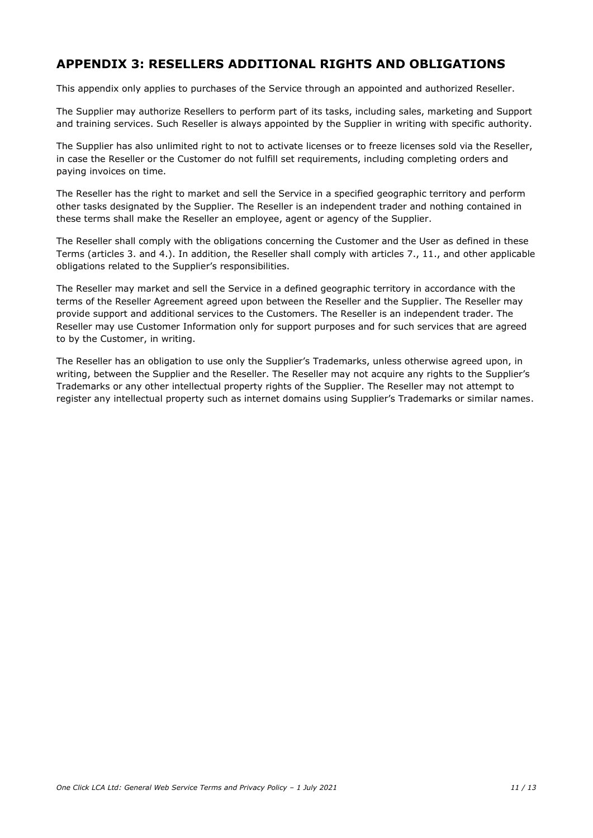### **APPENDIX 3: RESELLERS ADDITIONAL RIGHTS AND OBLIGATIONS**

This appendix only applies to purchases of the Service through an appointed and authorized Reseller.

The Supplier may authorize Resellers to perform part of its tasks, including sales, marketing and Support and training services. Such Reseller is always appointed by the Supplier in writing with specific authority.

The Supplier has also unlimited right to not to activate licenses or to freeze licenses sold via the Reseller, in case the Reseller or the Customer do not fulfill set requirements, including completing orders and paying invoices on time.

The Reseller has the right to market and sell the Service in a specified geographic territory and perform other tasks designated by the Supplier. The Reseller is an independent trader and nothing contained in these terms shall make the Reseller an employee, agent or agency of the Supplier.

The Reseller shall comply with the obligations concerning the Customer and the User as defined in these Terms (articles 3. and 4.). In addition, the Reseller shall comply with articles 7., 11., and other applicable obligations related to the Supplier's responsibilities.

The Reseller may market and sell the Service in a defined geographic territory in accordance with the terms of the Reseller Agreement agreed upon between the Reseller and the Supplier. The Reseller may provide support and additional services to the Customers. The Reseller is an independent trader. The Reseller may use Customer Information only for support purposes and for such services that are agreed to by the Customer, in writing.

The Reseller has an obligation to use only the Supplier's Trademarks, unless otherwise agreed upon, in writing, between the Supplier and the Reseller. The Reseller may not acquire any rights to the Supplier's Trademarks or any other intellectual property rights of the Supplier. The Reseller may not attempt to register any intellectual property such as internet domains using Supplier's Trademarks or similar names.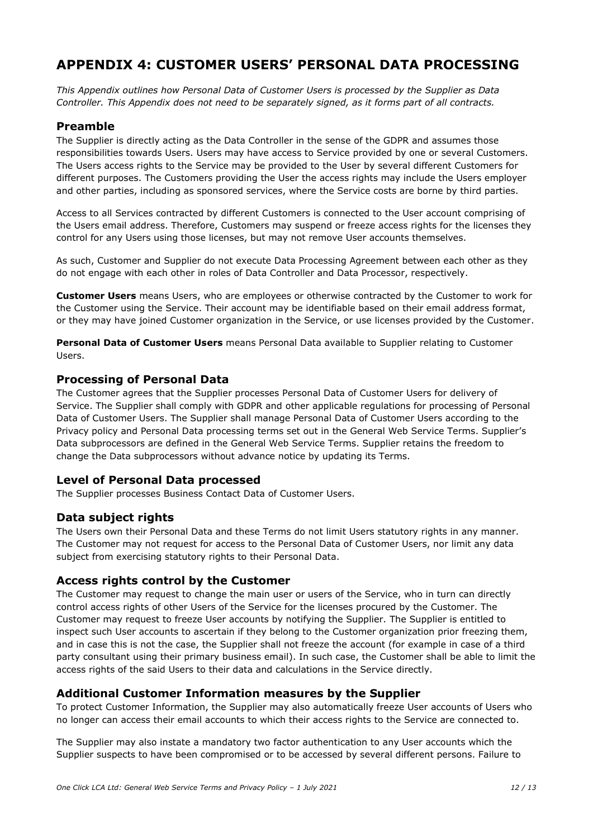# **APPENDIX 4: CUSTOMER USERS' PERSONAL DATA PROCESSING**

*This Appendix outlines how Personal Data of Customer Users is processed by the Supplier as Data Controller. This Appendix does not need to be separately signed, as it forms part of all contracts.*

#### **Preamble**

The Supplier is directly acting as the Data Controller in the sense of the GDPR and assumes those responsibilities towards Users. Users may have access to Service provided by one or several Customers. The Users access rights to the Service may be provided to the User by several different Customers for different purposes. The Customers providing the User the access rights may include the Users employer and other parties, including as sponsored services, where the Service costs are borne by third parties.

Access to all Services contracted by different Customers is connected to the User account comprising of the Users email address. Therefore, Customers may suspend or freeze access rights for the licenses they control for any Users using those licenses, but may not remove User accounts themselves.

As such, Customer and Supplier do not execute Data Processing Agreement between each other as they do not engage with each other in roles of Data Controller and Data Processor, respectively.

**Customer Users** means Users, who are employees or otherwise contracted by the Customer to work for the Customer using the Service. Their account may be identifiable based on their email address format, or they may have joined Customer organization in the Service, or use licenses provided by the Customer.

**Personal Data of Customer Users** means Personal Data available to Supplier relating to Customer Users.

#### **Processing of Personal Data**

The Customer agrees that the Supplier processes Personal Data of Customer Users for delivery of Service. The Supplier shall comply with GDPR and other applicable regulations for processing of Personal Data of Customer Users. The Supplier shall manage Personal Data of Customer Users according to the Privacy policy and Personal Data processing terms set out in the General Web Service Terms. Supplier's Data subprocessors are defined in the General Web Service Terms. Supplier retains the freedom to change the Data subprocessors without advance notice by updating its Terms.

#### **Level of Personal Data processed**

The Supplier processes Business Contact Data of Customer Users.

#### **Data subject rights**

The Users own their Personal Data and these Terms do not limit Users statutory rights in any manner. The Customer may not request for access to the Personal Data of Customer Users, nor limit any data subject from exercising statutory rights to their Personal Data.

#### **Access rights control by the Customer**

The Customer may request to change the main user or users of the Service, who in turn can directly control access rights of other Users of the Service for the licenses procured by the Customer. The Customer may request to freeze User accounts by notifying the Supplier. The Supplier is entitled to inspect such User accounts to ascertain if they belong to the Customer organization prior freezing them, and in case this is not the case, the Supplier shall not freeze the account (for example in case of a third party consultant using their primary business email). In such case, the Customer shall be able to limit the access rights of the said Users to their data and calculations in the Service directly.

#### **Additional Customer Information measures by the Supplier**

To protect Customer Information, the Supplier may also automatically freeze User accounts of Users who no longer can access their email accounts to which their access rights to the Service are connected to.

The Supplier may also instate a mandatory two factor authentication to any User accounts which the Supplier suspects to have been compromised or to be accessed by several different persons. Failure to